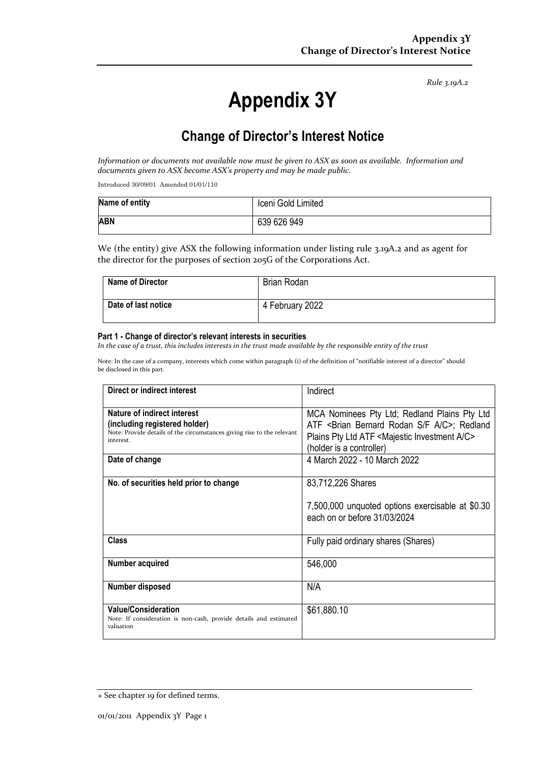*Rule 3.19A.2*

# **Appendix 3Y**

# **Change of Director's Interest Notice**

*Information or documents not available now must be given to ASX as soon as available. Information and documents given to ASX become ASX's property and may be made public.*

Introduced 30/09/01 Amended 01/01/110

| Name of entity | Iceni Gold Limited |
|----------------|--------------------|
| <b>ABN</b>     | 639 626 949        |

We (the entity) give ASX the following information under listing rule 3.19A.2 and as agent for the director for the purposes of section 205G of the Corporations Act.

| Name of Director    | Brian Rodan     |
|---------------------|-----------------|
| Date of last notice | 4 February 2022 |

#### **Part 1 - Change of director's relevant interests in securities**

*In the case of a trust, this includes interests in the trust made available by the responsible entity of the trust*

Note: In the case of a company, interests which come within paragraph (i) of the definition of "notifiable interest of a director" should be disclosed in this part.

| Direct or indirect interest                                                                                                                         | Indirect                                                                                                                                                                                                               |
|-----------------------------------------------------------------------------------------------------------------------------------------------------|------------------------------------------------------------------------------------------------------------------------------------------------------------------------------------------------------------------------|
| Nature of indirect interest<br>(including registered holder)<br>Note: Provide details of the circumstances giving rise to the relevant<br>interest. | MCA Nominees Pty Ltd; Redland Plains Pty Ltd<br>ATF <brian a="" bernard="" c="" f="" rodan="" s="">; Redland<br/>Plains Pty Ltd ATF <majestic a="" c="" investment=""><br/>(holder is a controller)</majestic></brian> |
| Date of change                                                                                                                                      | 4 March 2022 - 10 March 2022                                                                                                                                                                                           |
| No. of securities held prior to change                                                                                                              | 83,712,226 Shares<br>7,500,000 unquoted options exercisable at \$0.30<br>each on or before 31/03/2024                                                                                                                  |
| <b>Class</b>                                                                                                                                        | Fully paid ordinary shares (Shares)                                                                                                                                                                                    |
| Number acquired                                                                                                                                     | 546,000                                                                                                                                                                                                                |
| Number disposed                                                                                                                                     | N/A                                                                                                                                                                                                                    |
| <b>Value/Consideration</b><br>Note: If consideration is non-cash, provide details and estimated<br>valuation                                        | \$61,880.10                                                                                                                                                                                                            |

<sup>+</sup> See chapter 19 for defined terms.